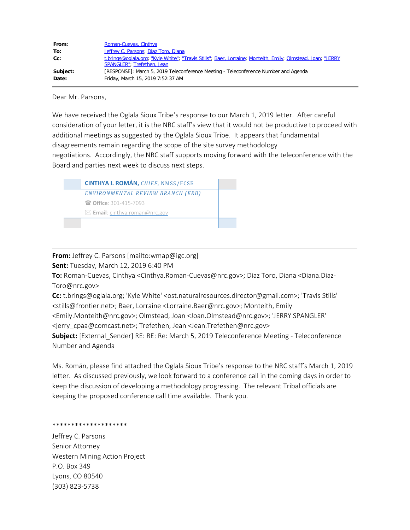| From:    | Roman-Cuevas, Cinthya                                                                                                                     |
|----------|-------------------------------------------------------------------------------------------------------------------------------------------|
| To:      | Jeffrey C. Parsons; Diaz Toro, Diana                                                                                                      |
| $Cc$ :   | t.brings@oglala.org; "Kyle White"; "Travis Stills"; Baer, Lorraine; Monteith, Emily; Olmstead, Joan; "JERRY<br>SPANGLER": Trefethen, Jean |
| Subject: | [RESPONSE]: March 5, 2019 Teleconference Meeting - Teleconference Number and Agenda                                                       |
| Date:    | Friday, March 15, 2019 7:52:37 AM                                                                                                         |

Dear Mr. Parsons,

We have received the Oglala Sioux Tribe's response to our March 1, 2019 letter. After careful consideration of your letter, it is the NRC staff's view that it would not be productive to proceed with additional meetings as suggested by the Oglala Sioux Tribe. It appears that fundamental disagreements remain regarding the scope of the site survey methodology negotiations. Accordingly, the NRC staff supports moving forward with the teleconference with the Board and parties next week to discuss next steps.



## **From:** Jeffrey C. Parsons [mailto:wmap@igc.org]

**Sent:** Tuesday, March 12, 2019 6:40 PM

**To:** Roman-Cuevas, Cinthya <Cinthya.Roman-Cuevas@nrc.gov>; Diaz Toro, Diana <Diana.Diaz-Toro@nrc.gov>

**Cc:** t.brings@oglala.org; 'Kyle White' <ost.naturalresources.director@gmail.com>; 'Travis Stills' <stills@frontier.net>; Baer, Lorraine <Lorraine.Baer@nrc.gov>; Monteith, Emily

<Emily.Monteith@nrc.gov>; Olmstead, Joan <Joan.Olmstead@nrc.gov>; 'JERRY SPANGLER' <jerry\_cpaa@comcast.net>; Trefethen, Jean <Jean.Trefethen@nrc.gov>

**Subject:** [External\_Sender] RE: RE: Re: March 5, 2019 Teleconference Meeting - Teleconference Number and Agenda

Ms. Román, please find attached the Oglala Sioux Tribe's response to the NRC staff's March 1, 2019 letter. As discussed previously, we look forward to a conference call in the coming days in order to keep the discussion of developing a methodology progressing. The relevant Tribal officials are keeping the proposed conference call time available. Thank you.

## \*\*\*\*\*\*\*\*\*\*\*\*\*\*\*\*\*\*\*\*

Jeffrey C. Parsons Senior Attorney Western Mining Action Project P.O. Box 349 Lyons, CO 80540 (303) 823-5738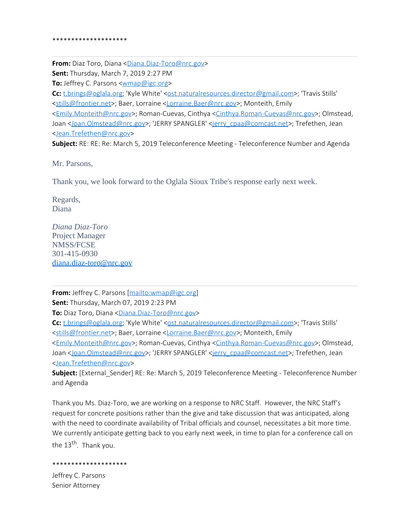**From:** Diaz Toro, Diana <[Diana.Diaz-Toro@nrc.gov](mailto:Diana.Diaz-Toro@nrc.gov)> **Sent:** Thursday, March 7, 2019 2:27 PM **To:** Jeffrey C. Parsons <**wmap@igc.org> Cc:** [t.brings@oglala.org;](mailto:t.brings@oglala.org) 'Kyle White' [<ost.naturalresources.director@gmail.com](mailto:ost.naturalresources.director@gmail.com)>; 'Travis Stills' [<stills@frontier.net](mailto:stills@frontier.net)>; Baer, Lorraine [<Lorraine.Baer@nrc.gov](mailto:Lorraine.Baer@nrc.gov)>; Monteith, Emily [<Emily.Monteith@nrc.gov](mailto:Emily.Monteith@nrc.gov)>; Roman-Cuevas, Cinthya <[Cinthya.Roman-Cuevas@nrc.gov](mailto:Cinthya.Roman-Cuevas@nrc.gov)>; Olmstead, Joan <[Joan.Olmstead@nrc.gov>](mailto:Joan.Olmstead@nrc.gov); 'JERRY SPANGLER' [<jerry\\_cpaa@comcast.net](mailto:jerry_cpaa@comcast.net)>; Trefethen, Jean [<Jean.Trefethen@nrc.gov](mailto:Jean.Trefethen@nrc.gov)>

**Subject:** RE: RE: Re: March 5, 2019 Teleconference Meeting - Teleconference Number and Agenda

Mr. Parsons,

Thank you, we look forward to the Oglala Sioux Tribe's response early next week.

Regards, Diana

*Diana Diaz-Toro* Project Manager NMSS/FCSE 301-415-0930 [diana.diaz-toro@nrc.gov](mailto:diana.diaz-toro@nrc.gov)

**From:** Jeffrey C. Parsons [\[mailto:wmap@igc.org](mailto:wmap@igc.org)]

**Sent:** Thursday, March 07, 2019 2:23 PM

**To:** Diaz Toro, Diana [<Diana.Diaz-Toro@nrc.gov](mailto:Diana.Diaz-Toro@nrc.gov)>

**Cc:** [t.brings@oglala.org;](mailto:t.brings@oglala.org) 'Kyle White' [<ost.naturalresources.director@gmail.com](mailto:ost.naturalresources.director@gmail.com)>; 'Travis Stills' [<stills@frontier.net](mailto:stills@frontier.net)>; Baer, Lorraine [<Lorraine.Baer@nrc.gov](mailto:Lorraine.Baer@nrc.gov)>; Monteith, Emily [<Emily.Monteith@nrc.gov](mailto:Emily.Monteith@nrc.gov)>; Roman-Cuevas, Cinthya <[Cinthya.Roman-Cuevas@nrc.gov](mailto:Cinthya.Roman-Cuevas@nrc.gov)>; Olmstead,

Joan <[Joan.Olmstead@nrc.gov>](mailto:Joan.Olmstead@nrc.gov); 'JERRY SPANGLER' [<jerry\\_cpaa@comcast.net](mailto:jerry_cpaa@comcast.net)>; Trefethen, Jean [<Jean.Trefethen@nrc.gov](mailto:Jean.Trefethen@nrc.gov)>

**Subject:** [External\_Sender] RE: Re: March 5, 2019 Teleconference Meeting - Teleconference Number and Agenda

Thank you Ms. Diaz-Toro, we are working on a response to NRC Staff. However, the NRC Staff's request for concrete positions rather than the give and take discussion that was anticipated, along with the need to coordinate availability of Tribal officials and counsel, necessitates a bit more time. We currently anticipate getting back to you early next week, in time to plan for a conference call on the  $13<sup>th</sup>$ . Thank you.

## \*\*\*\*\*\*\*\*\*\*\*\*\*\*\*\*\*\*\*\*

Jeffrey C. Parsons Senior Attorney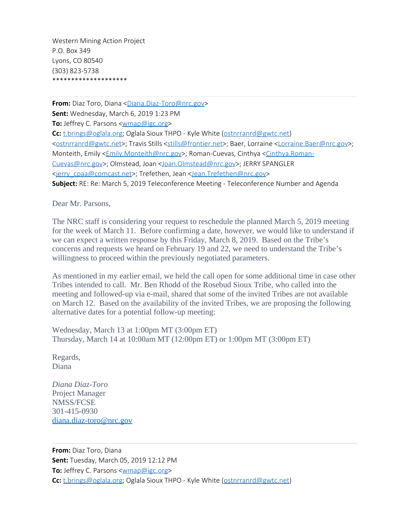Western Mining Action Project P.O. Box 349 Lyons, CO 80540 (303) 823-5738 \*\*\*\*\*\*\*\*\*\*\*\*\*\*\*\*\*\*\*\*

**From:** Diaz Toro, Diana <[Diana.Diaz-Toro@nrc.gov](mailto:Diana.Diaz-Toro@nrc.gov)> **Sent:** Wednesday, March 6, 2019 1:23 PM **To:** Jeffrey C. Parsons <**wmap@igc.org> Cc:** [t.brings@oglala.org;](mailto:t.brings@oglala.org) Oglala Sioux THPO - Kyle White [\(ostnrranrd@gwtc.net](mailto:ostnrranrd@gwtc.net)) [<ostnrranrd@gwtc.net](mailto:ostnrranrd@gwtc.net)>; Travis Stills [<stills@frontier.net](mailto:stills@frontier.net)>; Baer, Lorraine [<Lorraine.Baer@nrc.gov](mailto:Lorraine.Baer@nrc.gov)>; Monteith, Emily <**Emily.Monteith@nrc.gov>**; Roman-Cuevas, Cinthya <*Cinthya.Roman-*[Cuevas@nrc.gov](mailto:Cinthya.Roman-Cuevas@nrc.gov)>; Olmstead, Joan <[Joan.Olmstead@nrc.gov](mailto:Joan.Olmstead@nrc.gov)>; JERRY SPANGLER [<jerry\\_cpaa@comcast.net](mailto:jerry_cpaa@comcast.net)>; Trefethen, Jean [<Jean.Trefethen@nrc.gov](mailto:Jean.Trefethen@nrc.gov)> **Subject:** RE: Re: March 5, 2019 Teleconference Meeting - Teleconference Number and Agenda

Dear Mr. Parsons,

The NRC staff is considering your request to reschedule the planned March 5, 2019 meeting for the week of March 11. Before confirming a date, however, we would like to understand if we can expect a written response by this Friday, March 8, 2019. Based on the Tribe's concerns and requests we heard on February 19 and 22, we need to understand the Tribe's willingness to proceed within the previously negotiated parameters.

As mentioned in my earlier email, we held the call open for some additional time in case other Tribes intended to call. Mr. Ben Rhodd of the Rosebud Sioux Tribe, who called into the meeting and followed-up via e-mail, shared that some of the invited Tribes are not available on March 12. Based on the availability of the invited Tribes, we are proposing the following alternative dates for a potential follow-up meeting:

Wednesday, March 13 at 1:00pm MT (3:00pm ET) Thursday, March 14 at 10:00am MT (12:00pm ET) or 1:00pm MT (3:00pm ET)

Regards, Diana

*Diana Diaz-Toro* Project Manager NMSS/FCSE 301-415-0930 [diana.diaz-toro@nrc.gov](mailto:diana.diaz-toro@nrc.gov)

**From:** Diaz Toro, Diana **Sent:** Tuesday, March 05, 2019 12:12 PM **To:** Jeffrey C. Parsons <**wmap@igc.org> Cc:** [t.brings@oglala.org;](mailto:t.brings@oglala.org) Oglala Sioux THPO - Kyle White [\(ostnrranrd@gwtc.net](mailto:ostnrranrd@gwtc.net))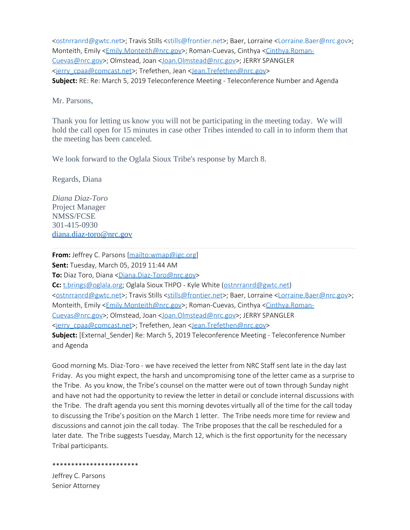[<ostnrranrd@gwtc.net](mailto:ostnrranrd@gwtc.net)>; Travis Stills [<stills@frontier.net](mailto:stills@frontier.net)>; Baer, Lorraine [<Lorraine.Baer@nrc.gov](mailto:Lorraine.Baer@nrc.gov)>; Monteith, Emily [<Emily.Monteith@nrc.gov](mailto:Emily.Monteith@nrc.gov)>; Roman-Cuevas, Cinthya [<Cinthya.Roman-](mailto:Cinthya.Roman-Cuevas@nrc.gov)[Cuevas@nrc.gov](mailto:Cinthya.Roman-Cuevas@nrc.gov)>; Olmstead, Joan <[Joan.Olmstead@nrc.gov](mailto:Joan.Olmstead@nrc.gov)>; JERRY SPANGLER [<jerry\\_cpaa@comcast.net](mailto:jerry_cpaa@comcast.net)>; Trefethen, Jean [<Jean.Trefethen@nrc.gov](mailto:Jean.Trefethen@nrc.gov)> **Subject:** RE: Re: March 5, 2019 Teleconference Meeting - Teleconference Number and Agenda

Mr. Parsons,

Thank you for letting us know you will not be participating in the meeting today. We will hold the call open for 15 minutes in case other Tribes intended to call in to inform them that the meeting has been canceled.

We look forward to the Oglala Sioux Tribe's response by March 8.

Regards, Diana

*Diana Diaz-Toro* Project Manager NMSS/FCSE 301-415-0930 [diana.diaz-toro@nrc.gov](mailto:diana.diaz-toro@nrc.gov)

**From:** Jeffrey C. Parsons [\[mailto:wmap@igc.org](mailto:wmap@igc.org)] **Sent:** Tuesday, March 05, 2019 11:44 AM **To:** Diaz Toro, Diana [<Diana.Diaz-Toro@nrc.gov](mailto:Diana.Diaz-Toro@nrc.gov)> **Cc:** [t.brings@oglala.org;](mailto:t.brings@oglala.org) Oglala Sioux THPO - Kyle White [\(ostnrranrd@gwtc.net](mailto:ostnrranrd@gwtc.net)) [<ostnrranrd@gwtc.net](mailto:ostnrranrd@gwtc.net)>; Travis Stills [<stills@frontier.net](mailto:stills@frontier.net)>; Baer, Lorraine [<Lorraine.Baer@nrc.gov](mailto:Lorraine.Baer@nrc.gov)>; Monteith, Emily <**Emily.Monteith@nrc.gov>**; Roman-Cuevas, Cinthya [<Cinthya.Roman-](mailto:Cinthya.Roman-Cuevas@nrc.gov)[Cuevas@nrc.gov](mailto:Cinthya.Roman-Cuevas@nrc.gov)>; Olmstead, Joan <[Joan.Olmstead@nrc.gov](mailto:Joan.Olmstead@nrc.gov)>; JERRY SPANGLER [<jerry\\_cpaa@comcast.net](mailto:jerry_cpaa@comcast.net)>; Trefethen, Jean [<Jean.Trefethen@nrc.gov](mailto:Jean.Trefethen@nrc.gov)> Subject: [External\_Sender] Re: March 5, 2019 Teleconference Meeting - Teleconference Number and Agenda

Good morning Ms. Diaz-Toro - we have received the letter from NRC Staff sent late in the day last Friday. As you might expect, the harsh and uncompromising tone of the letter came as a surprise to the Tribe. As you know, the Tribe's counsel on the matter were out of town through Sunday night and have not had the opportunity to review the letter in detail or conclude internal discussions with the Tribe. The draft agenda you sent this morning devotes virtually all of the time for the call today to discussing the Tribe's position on the March 1 letter. The Tribe needs more time for review and discussions and cannot join the call today. The Tribe proposes that the call be rescheduled for a later date. The Tribe suggests Tuesday, March 12, which is the first opportunity for the necessary Tribal participants.

\*\*\*\*\*\*\*\*\*\*\*\*\*\*\*\*\*\*\*\*\*\*\* Jeffrey C. Parsons Senior Attorney